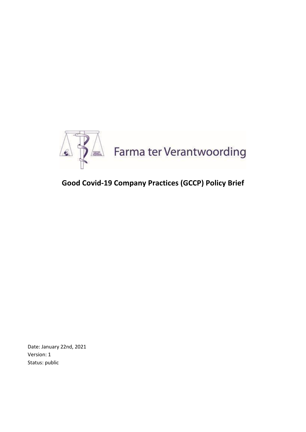

# **Good Covid-19 Company Practices (GCCP) Policy Brief**

Date: January 22nd, 2021 Version: 1 Status: public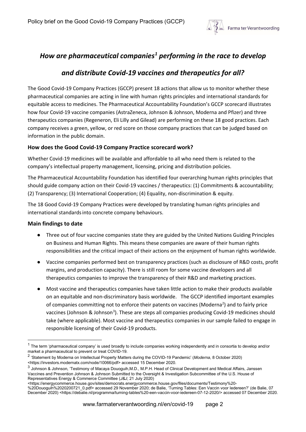

## *How are pharmaceutical companies[1](#page-1-0) performing in the race to develop*

### *and distribute Covid-19 vaccines and therapeutics for all?*

The Good Covid-19 Company Practices (GCCP) present 18 actions that allow us to monitor whether these pharmaceutical companies are acting in line with human rights principles and international standards for equitable access to medicines. The Pharmaceutical Accountability Foundation's GCCP scorecard illustrates how four Covid-19 vaccine companies (AstraZeneca, Johnson & Johnson, Moderna and Pfizer) and three therapeutics companies (Regeneron, Eli Lilly and Gilead) are performing on these 18 good practices. Each company receives a green, yellow, or red score on those company practices that can be judged based on information in the public domain.

#### **How does the Good Covid-19 Company Practice scorecard work?**

Whether Covid-19 medicines will be available and affordable to all who need them is related to the company's intellectual property management, licensing, pricing and distribution policies.

The Pharmaceutical Accountability Foundation has identified four overarching human rights principles that should guide company action on their Covid-19 vaccines / therapeutics: (1) Commitments & accountability; (2) Transparency; (3) International Cooperation; (4) Equality, non-discrimination & equity.

The 18 Good Covid-19 Company Practices were developed by translating human rights principles and international standardsinto concrete company behaviours.

#### **Main findings to date**

- Three out of four vaccine companies state they are guided by the United Nations Guiding Principles on Business and Human Rights. This means these companies are aware of their human rights responsibilities and the critical impact of their actions on the enjoyment of human rights worldwide.
- Vaccine companies performed best on transparency practices (such as disclosure of R&D costs, profit margins, and production capacity). There is still room for some vaccine developers and all therapeutics companies to improve the transparency of their R&D and marketing practices.
- Most vaccine and therapeutics companies have taken little action to make their products available on an equitable and non-discriminatory basis worldwide. The GCCP identified important examples of companies committing not to enforce their patents on vaccines (Moderna<sup>[2](#page-1-1)</sup>) and to fairly price vaccines (Johnson & Johnson<sup>[3](#page-1-2)</sup>). These are steps all companies producing Covid-19 medicines should take (where applicable). Most vaccine and therapeutics companies in our sample failed to engage in responsible licensing of their Covid-19 products.

<span id="page-1-0"></span> $1$  The term 'pharmaceutical company' is used broadly to include companies working independently and in consortia to develop and/or market a pharmaceutical to prevent or treat COVID-19.

<span id="page-1-1"></span><sup>2</sup> 'Statement by Moderna on Intellectual Property Matters during the COVID-19 Pandemic' (*Moderna*, 8 October 2020) <https://investors.modernatx.com/node/10066/pdf> accessed 15 December 2020.

<span id="page-1-2"></span><sup>3</sup> Johnson & Johnson, 'Testimony of Macaya Douoguih,M.D., M.P.H. Head of Clinical Development and Medical Affairs, Janssen Vaccines and Prevention Johnson & Johnson Submitted to the Oversight & Investigation Subcommittee of the U.S. House of Representatives Energy & Commerce Committee (*J&J*, 21 July 2020)

<sup>&</sup>lt;https://energycommerce.house.gov/sites/democrats.energycommerce.house.gov/files/documents/Testimony%20-

<sup>%20</sup>Douoguih%2020200721\_0.pdf> accessed 29 November 2020; de Balie, 'Turning Tables: Een Vaccin voor Iedereen?' (de Balie, 07 December 2020) <https://debalie.nl/programma/turning-tables%20-een-vaccin-voor-iedereen-07-12-2020/> accessed 07 December 2020.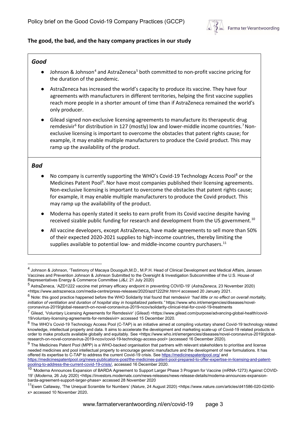

#### **The good, the bad, and the hazy company practices in our study**

#### *Good*

- Johnson & Johnson<sup>[4](#page-2-0)</sup> and AstraZeneca<sup>[5](#page-2-1)</sup> both committed to non-profit vaccine pricing for the duration of the pandemic.
- AstraZeneca has increased the world's capacity to produce its vaccine. They have four agreements with manufacturers in different territories, helping the first vaccine supplies reach more people in a shorter amount of time than if AstraZeneca remained the world's only producer.
- Gilead signed non-exclusive licensing agreements to manufacture its therapeutic drug remdesivir<sup>6</sup> for distribution in 127 (mostly) low and lower-middle income countries.<sup>7</sup> Nonexclusive licensing is important to overcome the obstacles that patent rights cause; for example, it may enable multiple manufacturers to produce the Covid product. This may ramp up the availability of the product.

#### *Bad*

- No company is currently supporting the WHO's Covid-19 Technology Access Pool<sup>[8](#page-2-4)</sup> or the Medicines Patent Pool<sup>[9](#page-2-5)</sup>. Nor have most companies published their licensing agreements. Non-exclusive licensing is important to overcome the obstacles that patent rights cause; for example, it may enable multiple manufacturers to produce the Covid product. This may ramp up the availability of the product.
- Moderna has openly stated it seeks to earn profit from its Covid vaccine despite having received sizable public funding for research and development from the US government.<sup>[10](#page-2-6)</sup>
- All vaccine developers, except AstraZeneca, have made agreements to sell more than 50% of their expected 2020-2021 supplies to high-income countries, thereby limiting the supplies available to potential low- and middle-income country purchasers. $11$

<span id="page-2-0"></span><sup>4</sup> Johnson & Johnson, 'Testimony of Macaya Douoguih,M.D., M.P.H. Head of Clinical Development and Medical Affairs, Janssen Vaccines and Prevention Johnson & Johnson Submitted to the Oversight & Investigation Subcommittee of the U.S. House of Representatives Energy & Commerce Committee (*J&J*, 21 July 2020)

<span id="page-2-1"></span><sup>5</sup> AstraZeneca, 'AZD1222 vaccine met primary efficacy endpoint in preventing COVID-19' (*AstraZeneca*, 23 November 2020) <https://www.astrazeneca.com/media-centre/press-releases/2020/azd1222hlr.htm>l accessed 20 January 2021.

<span id="page-2-2"></span><sup>6</sup> Note: this good practice happened before the WHO Solidarity trial found that remdesivir *"had little or no effect on overall mortality, initiation of ventilation and duration of hospital stay in hospitalized patients."* https://www.who.int/emergencies/diseases/novelcoronavirus-2019/global-research-on-novel-coronavirus-2019-ncov/solidarity-clinical-trial-for-covid-19-treatments

<span id="page-2-3"></span><sup>7</sup> Gilead, 'Voluntary Licensing Agreements for Remdesivir' (*Gilead*) <https://www.gilead.com/purpose/advancing-global-health/covid-19/voluntary-licensing-agreements-for-remdesivir> accessed 15 December 2020.

<span id="page-2-4"></span><sup>&</sup>lt;sup>8</sup> The WHO's Covid-19 Technology Access Pool (C-TAP) is an initiative aimed at compiling voluntary shared Covid-19 technology related knowledge, intellectual property and data. It aims to accelerate the development and marketing scale-up of Covid-19 related products in order to make products available globally and equitably. See <https://www.who.int/emergencies/diseases/novel-coronavirus-2019/globalresearch-on-novel-coronavirus-2019-ncov/covid-19-technology-access-pool> (accessed 16 December 2020).

<span id="page-2-5"></span> $9$  The Medicines Patent Pool (MPP) is a WHO-backed organisation that partners with relevant stakeholders to prioritise and license needed medicines and pool intellectual property to encourage generic manufacture and the development of new formulations. It has offered its expertise to C-TAP to address the current Covid-19 crisis. Se[e https://medicinespatentpool.org/](https://medicinespatentpool.org/) and [https://medicinespatentpool.org/news-publications-post/the-medicines-patent-pool-prepared-to-offer-expertise-in-licensing-and-patent](https://medicinespatentpool.org/news-publications-post/the-medicines-patent-pool-prepared-to-offer-expertise-in-licensing-and-patent-pooling-to-address-the-current-covid-19-crisis/)[pooling-to-address-the-current-covid-19-crisis/,](https://medicinespatentpool.org/news-publications-post/the-medicines-patent-pool-prepared-to-offer-expertise-in-licensing-and-patent-pooling-to-address-the-current-covid-19-crisis/) accessed 16 December 2020.

<span id="page-2-6"></span><sup>&</sup>lt;sup>10</sup> 'Moderna Announces Expansion of BARDA Agreement to Support Larger Phase 3 Program for Vaccine (mRNA-1273) Against COVID-19' (*Moderna*, 26 July 2020) <https://investors.modernatx.com/news-releases/news-release-details/moderna-announces-expansionbarda-agreement-support-larger-phase> accessed 28 November 2020

<span id="page-2-7"></span><sup>11</sup>Ewen Callaway, 'The Unequal Scramble for Numbers' (*Nature*, 24 August 2020) <https://www.nature.com/articles/d41586-020-02450 x> accessed 10 November 2020.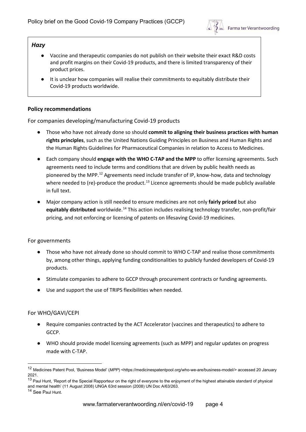

#### *Hazy*

- Vaccine and therapeutic companies do not publish on their website their exact R&D costs and profit margins on their Covid-19 products, and there is limited transparency of their product prices.
- It is unclear how companies will realise their commitments to equitably distribute their Covid-19 products worldwide.

#### **Policy recommendations**

For companies developing/manufacturing Covid-19 products

- Those who have not already done so should **commit to aligning their business practices with human rights principles**, such as the United Nations Guiding Principles on Business and Human Rights and the Human Rights Guidelines for Pharmaceutical Companies in relation to Access to Medicines.
- Each company should **engage with the WHO C-TAP and the MPP** to offer licensing agreements. Such agreements need to include terms and conditions that are driven by public health needs as pioneered by the MPP.<sup>[12](#page-3-0)</sup> Agreements need include transfer of IP, know-how, data and technology where needed to (re)-produce the product.<sup>[13](#page-3-1)</sup> Licence agreements should be made publicly available in full text.
- Major company action is still needed to ensure medicines are not only **fairly priced** but also **equitably distributed** worldwide.[14](#page-3-2) This action includes realising technology transfer, non-profit/fair pricing, and not enforcing or licensing of patents on lifesaving Covid-19 medicines.

#### For governments

- Those who have not already done so should commit to WHO C-TAP and realise those commitments by, among other things, applying funding conditionalities to publicly funded developers of Covid-19 products.
- Stimulate companies to adhere to GCCP through procurement contracts or funding agreements.
- Use and support the use of TRIPS flexibilities when needed.

#### For WHO/GAVI/CEPI

- Require companies contracted by the ACT Accelerator (vaccines and therapeutics) to adhere to GCCP.
- WHO should provide model licensing agreements (such as MPP) and regular updates on progress made with C-TAP.

<span id="page-3-0"></span><sup>12</sup> Medicines Patent Pool, 'Business Model' (*MPP*) <https://medicinespatentpool.org/who-we-are/business-model/> accessed 20 January 2021.

<span id="page-3-1"></span><sup>&</sup>lt;sup>13</sup> Paul Hunt, 'Report of the Special Rapporteur on the right of everyone to the enjoyment of the highest attainable standard of physical and mental health' (11 August 2008) UNGA 63rd session (2008) UN Doc A/63/263.

<span id="page-3-2"></span><sup>14</sup> See Paul Hunt.